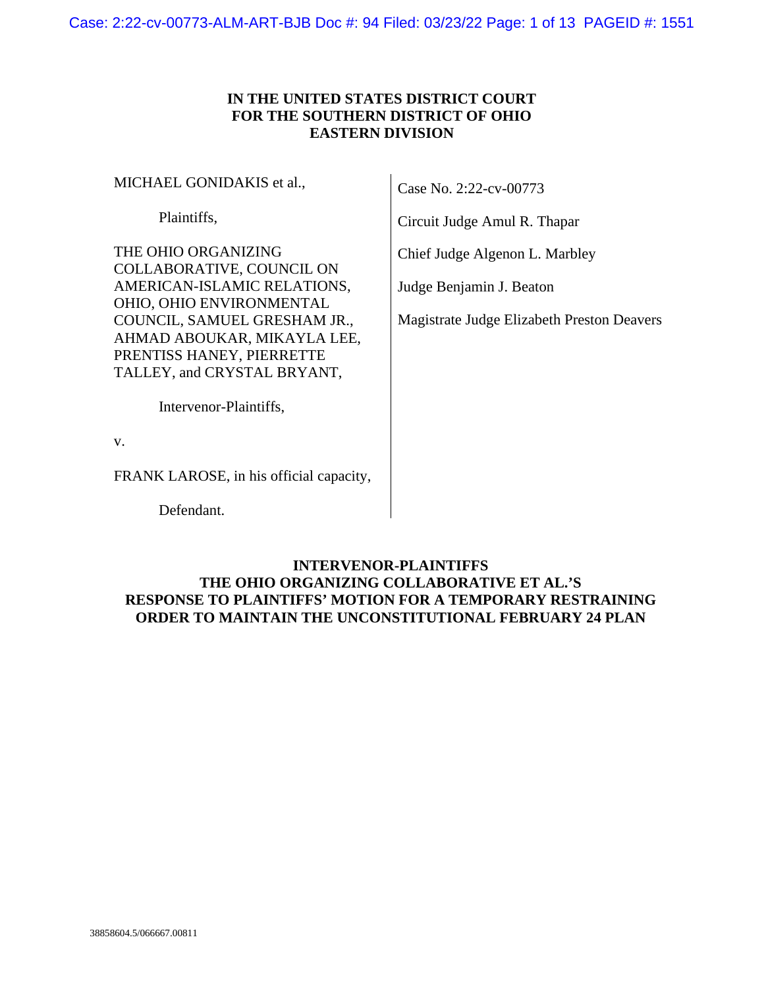# **IN THE UNITED STATES DISTRICT COURT FOR THE SOUTHERN DISTRICT OF OHIO EASTERN DIVISION**

MICHAEL GONIDAKIS et al.,

Plaintiffs,

THE OHIO ORGANIZING COLLABORATIVE, COUNCIL ON AMERICAN-ISLAMIC RELATIONS, OHIO, OHIO ENVIRONMENTAL COUNCIL, SAMUEL GRESHAM JR., AHMAD ABOUKAR, MIKAYLA LEE, PRENTISS HANEY, PIERRETTE TALLEY, and CRYSTAL BRYANT,

Case No. 2:22-cv-00773

Circuit Judge Amul R. Thapar

Chief Judge Algenon L. Marbley

Judge Benjamin J. Beaton

Magistrate Judge Elizabeth Preston Deavers

Intervenor-Plaintiffs,

v.

FRANK LAROSE, in his official capacity,

Defendant.

# **INTERVENOR-PLAINTIFFS THE OHIO ORGANIZING COLLABORATIVE ET AL.'S RESPONSE TO PLAINTIFFS' MOTION FOR A TEMPORARY RESTRAINING ORDER TO MAINTAIN THE UNCONSTITUTIONAL FEBRUARY 24 PLAN**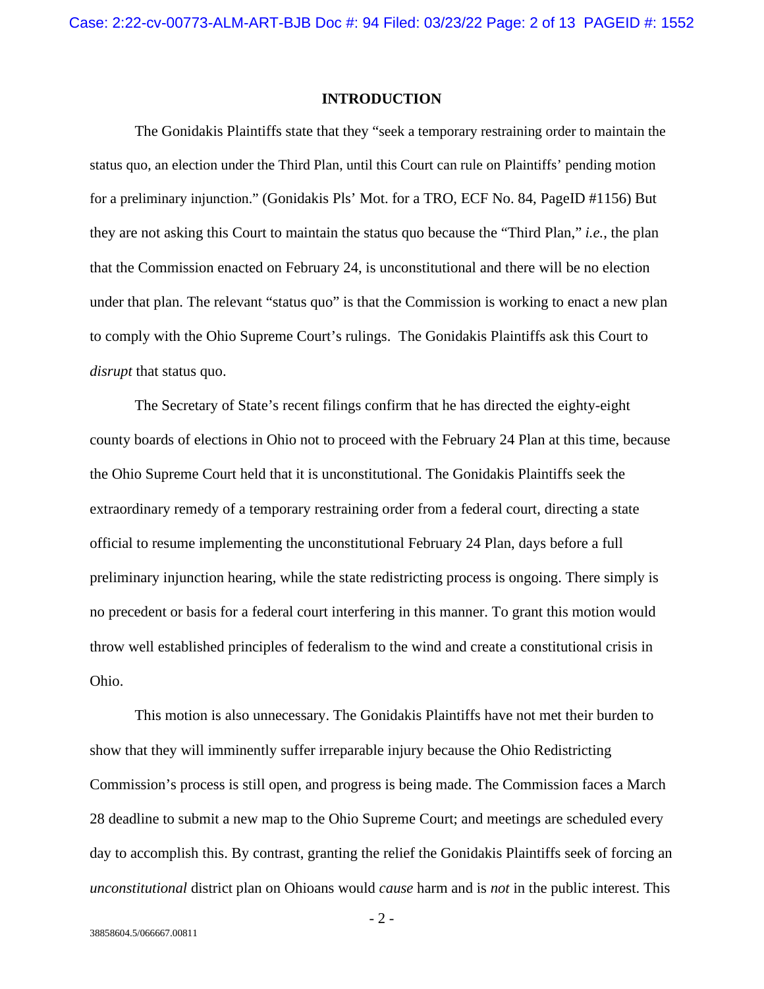#### **INTRODUCTION**

The Gonidakis Plaintiffs state that they "seek a temporary restraining order to maintain the status quo, an election under the Third Plan, until this Court can rule on Plaintiffs' pending motion for a preliminary injunction." (Gonidakis Pls' Mot. for a TRO, ECF No. 84, PageID #1156) But they are not asking this Court to maintain the status quo because the "Third Plan," *i.e.*, the plan that the Commission enacted on February 24, is unconstitutional and there will be no election under that plan. The relevant "status quo" is that the Commission is working to enact a new plan to comply with the Ohio Supreme Court's rulings. The Gonidakis Plaintiffs ask this Court to *disrupt* that status quo.

The Secretary of State's recent filings confirm that he has directed the eighty-eight county boards of elections in Ohio not to proceed with the February 24 Plan at this time, because the Ohio Supreme Court held that it is unconstitutional. The Gonidakis Plaintiffs seek the extraordinary remedy of a temporary restraining order from a federal court, directing a state official to resume implementing the unconstitutional February 24 Plan, days before a full preliminary injunction hearing, while the state redistricting process is ongoing. There simply is no precedent or basis for a federal court interfering in this manner. To grant this motion would throw well established principles of federalism to the wind and create a constitutional crisis in Ohio.

This motion is also unnecessary. The Gonidakis Plaintiffs have not met their burden to show that they will imminently suffer irreparable injury because the Ohio Redistricting Commission's process is still open, and progress is being made. The Commission faces a March 28 deadline to submit a new map to the Ohio Supreme Court; and meetings are scheduled every day to accomplish this. By contrast, granting the relief the Gonidakis Plaintiffs seek of forcing an *unconstitutional* district plan on Ohioans would *cause* harm and is *not* in the public interest. This

- 2 -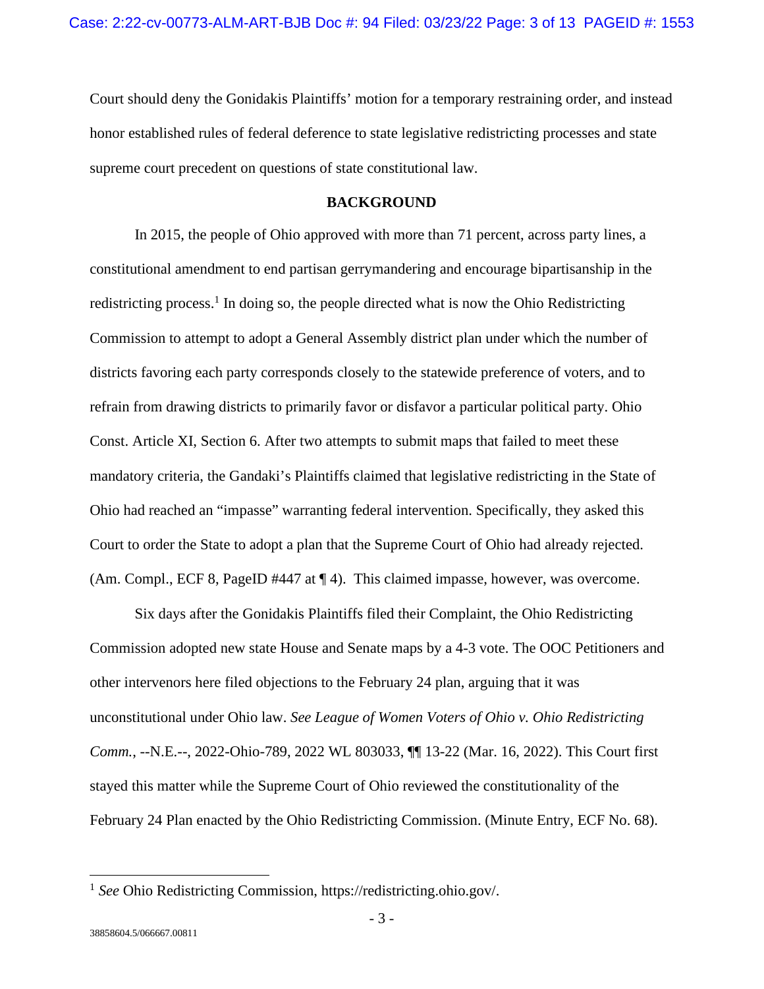Court should deny the Gonidakis Plaintiffs' motion for a temporary restraining order, and instead honor established rules of federal deference to state legislative redistricting processes and state supreme court precedent on questions of state constitutional law.

#### **BACKGROUND**

In 2015, the people of Ohio approved with more than 71 percent, across party lines, a constitutional amendment to end partisan gerrymandering and encourage bipartisanship in the redistricting process.<sup>1</sup> In doing so, the people directed what is now the Ohio Redistricting Commission to attempt to adopt a General Assembly district plan under which the number of districts favoring each party corresponds closely to the statewide preference of voters, and to refrain from drawing districts to primarily favor or disfavor a particular political party. Ohio Const. Article XI, Section 6. After two attempts to submit maps that failed to meet these mandatory criteria, the Gandaki's Plaintiffs claimed that legislative redistricting in the State of Ohio had reached an "impasse" warranting federal intervention. Specifically, they asked this Court to order the State to adopt a plan that the Supreme Court of Ohio had already rejected. (Am. Compl., ECF 8, PageID #447 at ¶ 4). This claimed impasse, however, was overcome.

Six days after the Gonidakis Plaintiffs filed their Complaint, the Ohio Redistricting Commission adopted new state House and Senate maps by a 4-3 vote. The OOC Petitioners and other intervenors here filed objections to the February 24 plan, arguing that it was unconstitutional under Ohio law. *See League of Women Voters of Ohio v. Ohio Redistricting Comm.*, --N.E.--, 2022-Ohio-789, 2022 WL 803033, ¶¶ 13-22 (Mar. 16, 2022). This Court first stayed this matter while the Supreme Court of Ohio reviewed the constitutionality of the February 24 Plan enacted by the Ohio Redistricting Commission. (Minute Entry, ECF No. 68).

<sup>&</sup>lt;sup>1</sup> See Ohio Redistricting Commission, https://redistricting.ohio.gov/.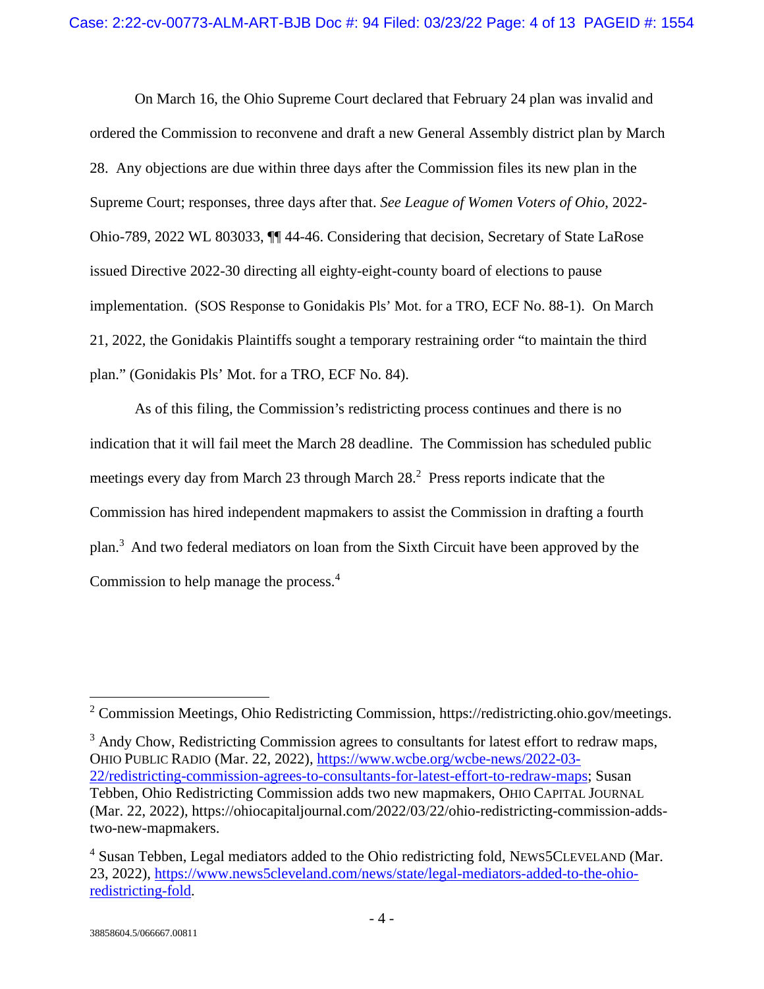On March 16, the Ohio Supreme Court declared that February 24 plan was invalid and ordered the Commission to reconvene and draft a new General Assembly district plan by March 28. Any objections are due within three days after the Commission files its new plan in the Supreme Court; responses, three days after that. *See League of Women Voters of Ohio*, 2022- Ohio-789, 2022 WL 803033, ¶¶ 44-46. Considering that decision, Secretary of State LaRose issued Directive 2022-30 directing all eighty-eight-county board of elections to pause implementation. (SOS Response to Gonidakis Pls' Mot. for a TRO, ECF No. 88-1). On March 21, 2022, the Gonidakis Plaintiffs sought a temporary restraining order "to maintain the third plan." (Gonidakis Pls' Mot. for a TRO, ECF No. 84).

As of this filing, the Commission's redistricting process continues and there is no indication that it will fail meet the March 28 deadline. The Commission has scheduled public meetings every day from March 23 through March  $28<sup>2</sup>$  Press reports indicate that the Commission has hired independent mapmakers to assist the Commission in drafting a fourth plan.<sup>3</sup> And two federal mediators on loan from the Sixth Circuit have been approved by the Commission to help manage the process.<sup>4</sup>

 $3$  Andy Chow, Redistricting Commission agrees to consultants for latest effort to redraw maps, OHIO PUBLIC RADIO (Mar. 22, 2022), https://www.wcbe.org/wcbe-news/2022-03- 22/redistricting-commission-agrees-to-consultants-for-latest-effort-to-redraw-maps; Susan Tebben, Ohio Redistricting Commission adds two new mapmakers, OHIO CAPITAL JOURNAL (Mar. 22, 2022), https://ohiocapitaljournal.com/2022/03/22/ohio-redistricting-commission-addstwo-new-mapmakers.

<sup>&</sup>lt;sup>2</sup> Commission Meetings, Ohio Redistricting Commission, https://redistricting.ohio.gov/meetings.

<sup>&</sup>lt;sup>4</sup> Susan Tebben, Legal mediators added to the Ohio redistricting fold, NEWS5CLEVELAND (Mar. 23, 2022), https://www.news5cleveland.com/news/state/legal-mediators-added-to-the-ohioredistricting-fold.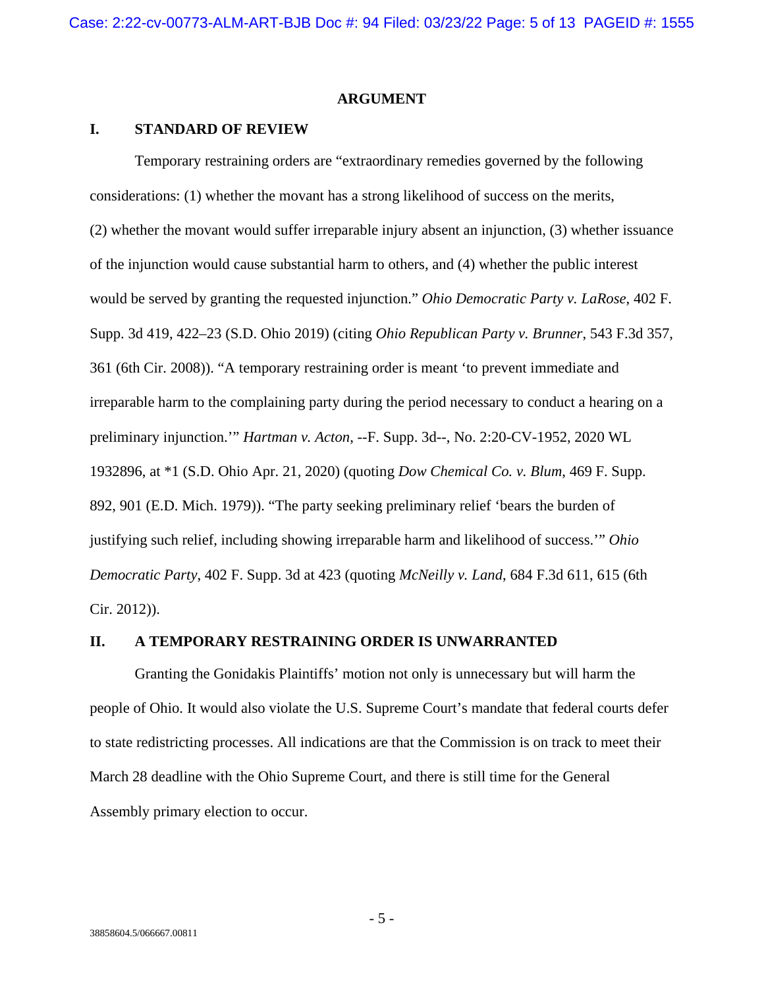#### **ARGUMENT**

### **I. STANDARD OF REVIEW**

Temporary restraining orders are "extraordinary remedies governed by the following considerations: (1) whether the movant has a strong likelihood of success on the merits, (2) whether the movant would suffer irreparable injury absent an injunction, (3) whether issuance of the injunction would cause substantial harm to others, and (4) whether the public interest would be served by granting the requested injunction." *Ohio Democratic Party v. LaRose*, 402 F. Supp. 3d 419, 422–23 (S.D. Ohio 2019) (citing *Ohio Republican Party v. Brunner*, 543 F.3d 357, 361 (6th Cir. 2008)). "A temporary restraining order is meant 'to prevent immediate and irreparable harm to the complaining party during the period necessary to conduct a hearing on a preliminary injunction.'" *Hartman v. Acton*, --F. Supp. 3d--, No. 2:20-CV-1952, 2020 WL 1932896, at \*1 (S.D. Ohio Apr. 21, 2020) (quoting *Dow Chemical Co. v. Blum*, 469 F. Supp. 892, 901 (E.D. Mich. 1979)). "The party seeking preliminary relief 'bears the burden of justifying such relief, including showing irreparable harm and likelihood of success.'" *Ohio Democratic Party*, 402 F. Supp. 3d at 423 (quoting *McNeilly v. Land*, 684 F.3d 611, 615 (6th Cir. 2012)).

### **II. A TEMPORARY RESTRAINING ORDER IS UNWARRANTED**

Granting the Gonidakis Plaintiffs' motion not only is unnecessary but will harm the people of Ohio. It would also violate the U.S. Supreme Court's mandate that federal courts defer to state redistricting processes. All indications are that the Commission is on track to meet their March 28 deadline with the Ohio Supreme Court, and there is still time for the General Assembly primary election to occur.

- 5 -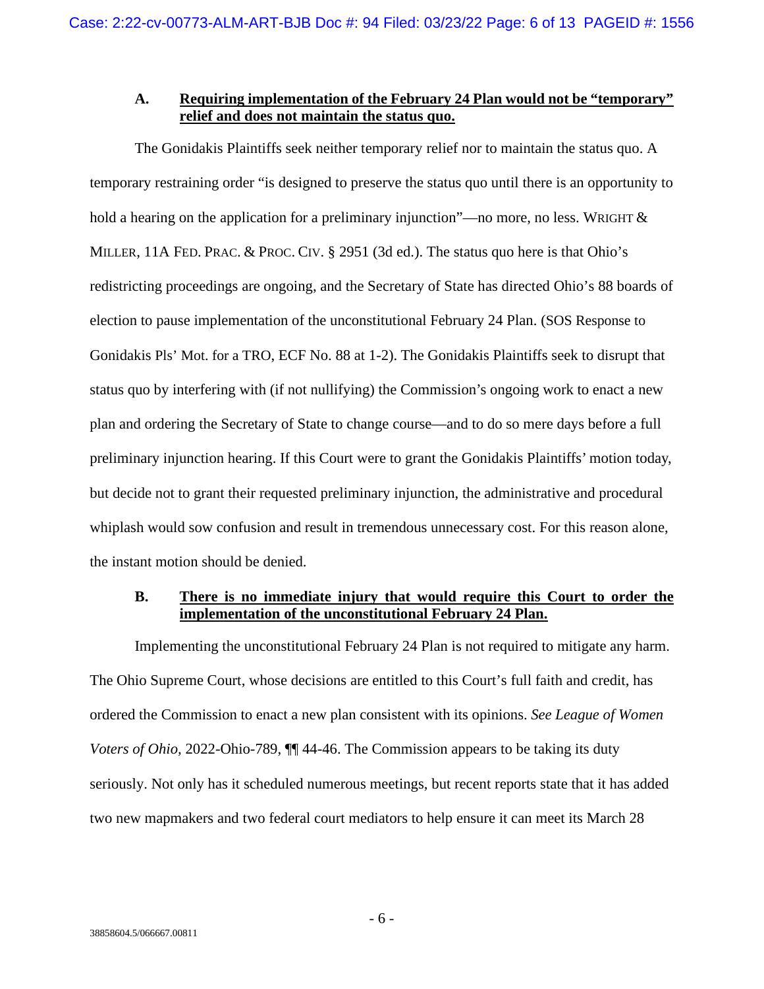## **A. Requiring implementation of the February 24 Plan would not be "temporary" relief and does not maintain the status quo.**

The Gonidakis Plaintiffs seek neither temporary relief nor to maintain the status quo. A temporary restraining order "is designed to preserve the status quo until there is an opportunity to hold a hearing on the application for a preliminary injunction"—no more, no less. WRIGHT & MILLER, 11A FED. PRAC. & PROC. CIV. § 2951 (3d ed.). The status quo here is that Ohio's redistricting proceedings are ongoing, and the Secretary of State has directed Ohio's 88 boards of election to pause implementation of the unconstitutional February 24 Plan. (SOS Response to Gonidakis Pls' Mot. for a TRO, ECF No. 88 at 1-2). The Gonidakis Plaintiffs seek to disrupt that status quo by interfering with (if not nullifying) the Commission's ongoing work to enact a new plan and ordering the Secretary of State to change course—and to do so mere days before a full preliminary injunction hearing. If this Court were to grant the Gonidakis Plaintiffs' motion today, but decide not to grant their requested preliminary injunction, the administrative and procedural whiplash would sow confusion and result in tremendous unnecessary cost. For this reason alone, the instant motion should be denied.

## **B. There is no immediate injury that would require this Court to order the implementation of the unconstitutional February 24 Plan.**

Implementing the unconstitutional February 24 Plan is not required to mitigate any harm. The Ohio Supreme Court, whose decisions are entitled to this Court's full faith and credit, has ordered the Commission to enact a new plan consistent with its opinions. *See League of Women Voters of Ohio, 2022-Ohio-789,*  $\P$  44-46. The Commission appears to be taking its duty seriously. Not only has it scheduled numerous meetings, but recent reports state that it has added two new mapmakers and two federal court mediators to help ensure it can meet its March 28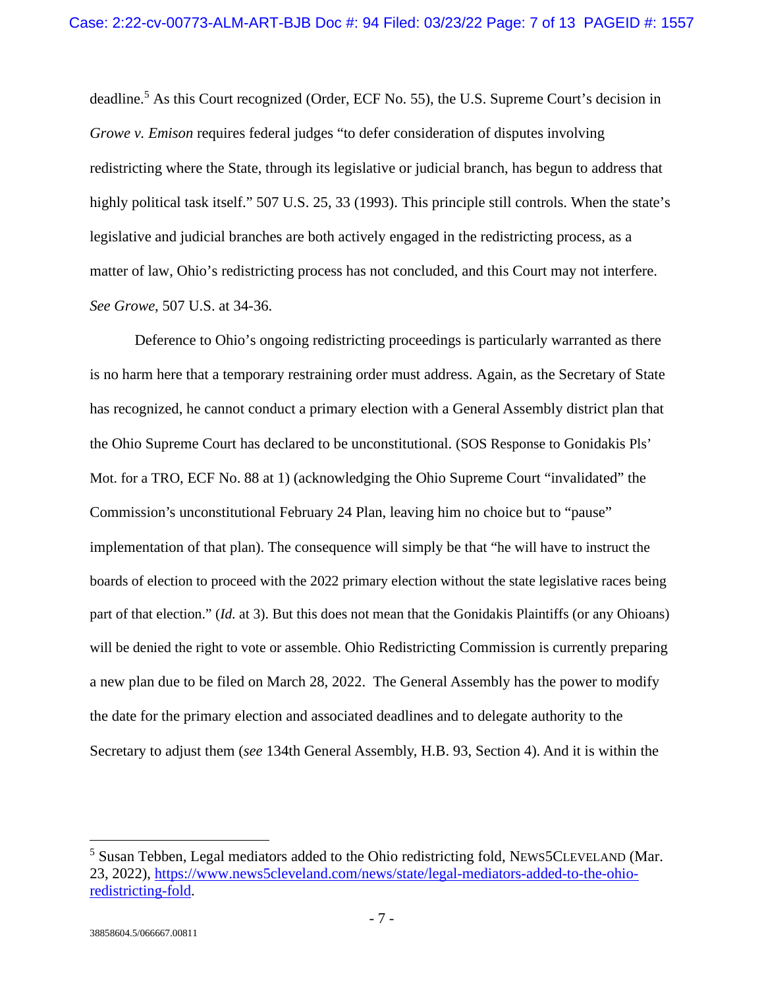deadline.<sup>5</sup> As this Court recognized (Order, ECF No. 55), the U.S. Supreme Court's decision in *Growe v. Emison* requires federal judges "to defer consideration of disputes involving redistricting where the State, through its legislative or judicial branch, has begun to address that highly political task itself." 507 U.S. 25, 33 (1993). This principle still controls. When the state's legislative and judicial branches are both actively engaged in the redistricting process, as a matter of law, Ohio's redistricting process has not concluded, and this Court may not interfere. *See Growe*, 507 U.S. at 34-36.

Deference to Ohio's ongoing redistricting proceedings is particularly warranted as there is no harm here that a temporary restraining order must address. Again, as the Secretary of State has recognized, he cannot conduct a primary election with a General Assembly district plan that the Ohio Supreme Court has declared to be unconstitutional. (SOS Response to Gonidakis Pls' Mot. for a TRO, ECF No. 88 at 1) (acknowledging the Ohio Supreme Court "invalidated" the Commission's unconstitutional February 24 Plan, leaving him no choice but to "pause" implementation of that plan). The consequence will simply be that "he will have to instruct the boards of election to proceed with the 2022 primary election without the state legislative races being part of that election." (*Id.* at 3). But this does not mean that the Gonidakis Plaintiffs (or any Ohioans) will be denied the right to vote or assemble. Ohio Redistricting Commission is currently preparing a new plan due to be filed on March 28, 2022. The General Assembly has the power to modify the date for the primary election and associated deadlines and to delegate authority to the Secretary to adjust them (*see* 134th General Assembly, H.B. 93, Section 4). And it is within the

<sup>&</sup>lt;sup>5</sup> Susan Tebben, Legal mediators added to the Ohio redistricting fold, NEWS5CLEVELAND (Mar. 23, 2022), https://www.news5cleveland.com/news/state/legal-mediators-added-to-the-ohioredistricting-fold.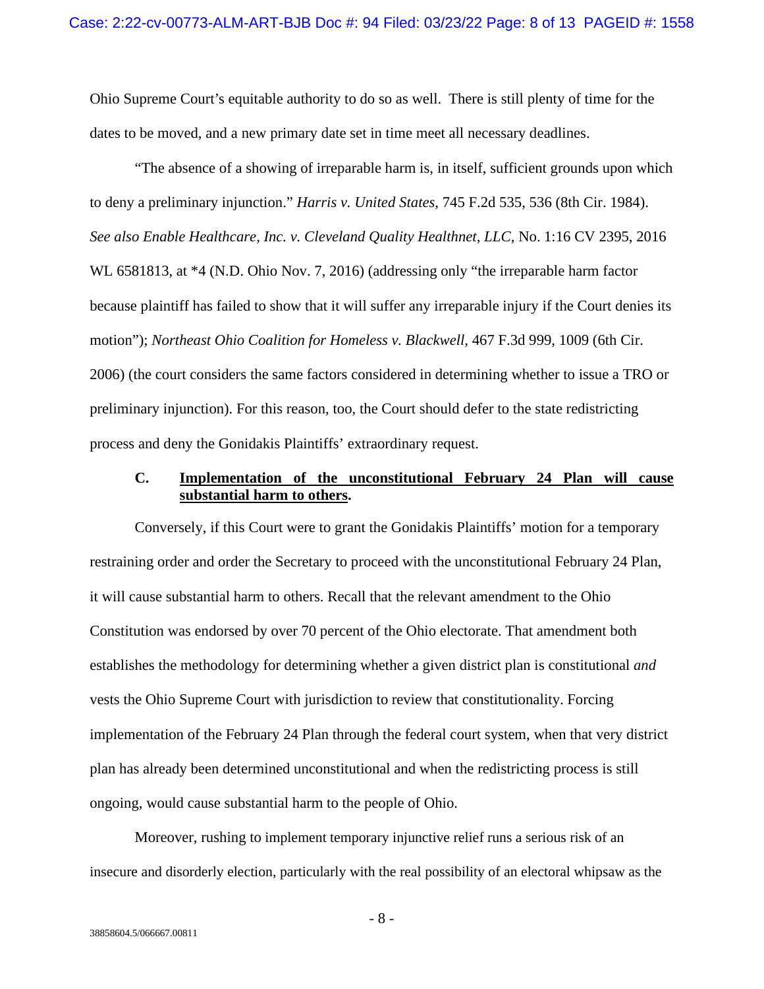Ohio Supreme Court's equitable authority to do so as well. There is still plenty of time for the dates to be moved, and a new primary date set in time meet all necessary deadlines.

"The absence of a showing of irreparable harm is, in itself, sufficient grounds upon which to deny a preliminary injunction." *Harris v. United States*, 745 F.2d 535, 536 (8th Cir. 1984). *See also Enable Healthcare, Inc. v. Cleveland Quality Healthnet, LLC*, No. 1:16 CV 2395, 2016 WL 6581813, at \*4 (N.D. Ohio Nov. 7, 2016) (addressing only "the irreparable harm factor because plaintiff has failed to show that it will suffer any irreparable injury if the Court denies its motion"); *Northeast Ohio Coalition for Homeless v. Blackwell*, 467 F.3d 999, 1009 (6th Cir. 2006) (the court considers the same factors considered in determining whether to issue a TRO or preliminary injunction). For this reason, too, the Court should defer to the state redistricting process and deny the Gonidakis Plaintiffs' extraordinary request.

## **C. Implementation of the unconstitutional February 24 Plan will cause substantial harm to others.**

Conversely, if this Court were to grant the Gonidakis Plaintiffs' motion for a temporary restraining order and order the Secretary to proceed with the unconstitutional February 24 Plan, it will cause substantial harm to others. Recall that the relevant amendment to the Ohio Constitution was endorsed by over 70 percent of the Ohio electorate. That amendment both establishes the methodology for determining whether a given district plan is constitutional *and* vests the Ohio Supreme Court with jurisdiction to review that constitutionality. Forcing implementation of the February 24 Plan through the federal court system, when that very district plan has already been determined unconstitutional and when the redistricting process is still ongoing, would cause substantial harm to the people of Ohio.

Moreover, rushing to implement temporary injunctive relief runs a serious risk of an insecure and disorderly election, particularly with the real possibility of an electoral whipsaw as the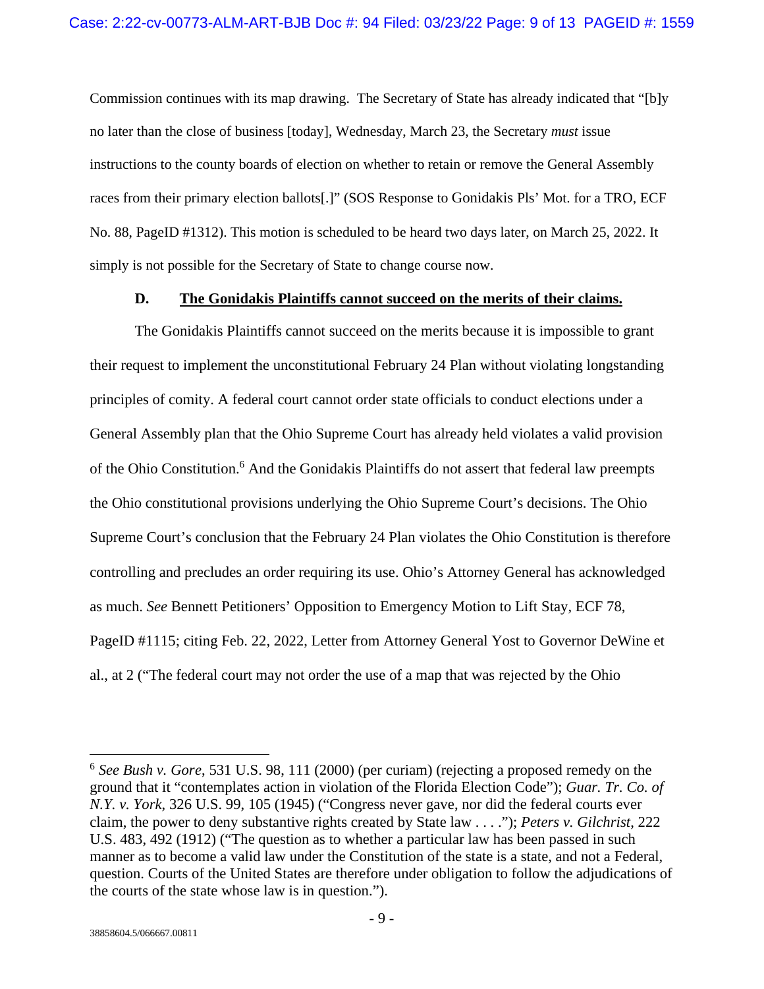Commission continues with its map drawing. The Secretary of State has already indicated that "[b]y no later than the close of business [today], Wednesday, March 23, the Secretary *must* issue instructions to the county boards of election on whether to retain or remove the General Assembly races from their primary election ballots[.]" (SOS Response to Gonidakis Pls' Mot. for a TRO, ECF No. 88, PageID #1312). This motion is scheduled to be heard two days later, on March 25, 2022. It simply is not possible for the Secretary of State to change course now.

### **D. The Gonidakis Plaintiffs cannot succeed on the merits of their claims.**

The Gonidakis Plaintiffs cannot succeed on the merits because it is impossible to grant their request to implement the unconstitutional February 24 Plan without violating longstanding principles of comity. A federal court cannot order state officials to conduct elections under a General Assembly plan that the Ohio Supreme Court has already held violates a valid provision of the Ohio Constitution.<sup>6</sup> And the Gonidakis Plaintiffs do not assert that federal law preempts the Ohio constitutional provisions underlying the Ohio Supreme Court's decisions. The Ohio Supreme Court's conclusion that the February 24 Plan violates the Ohio Constitution is therefore controlling and precludes an order requiring its use. Ohio's Attorney General has acknowledged as much. *See* Bennett Petitioners' Opposition to Emergency Motion to Lift Stay, ECF 78, PageID #1115; citing Feb. 22, 2022, Letter from Attorney General Yost to Governor DeWine et al., at 2 ("The federal court may not order the use of a map that was rejected by the Ohio

<sup>6</sup> *See Bush v. Gore*, 531 U.S. 98, 111 (2000) (per curiam) (rejecting a proposed remedy on the ground that it "contemplates action in violation of the Florida Election Code"); *Guar. Tr. Co. of N.Y. v. York*, 326 U.S. 99, 105 (1945) ("Congress never gave, nor did the federal courts ever claim, the power to deny substantive rights created by State law . . . ."); *Peters v. Gilchrist*, 222 U.S. 483, 492 (1912) ("The question as to whether a particular law has been passed in such manner as to become a valid law under the Constitution of the state is a state, and not a Federal, question. Courts of the United States are therefore under obligation to follow the adjudications of the courts of the state whose law is in question.").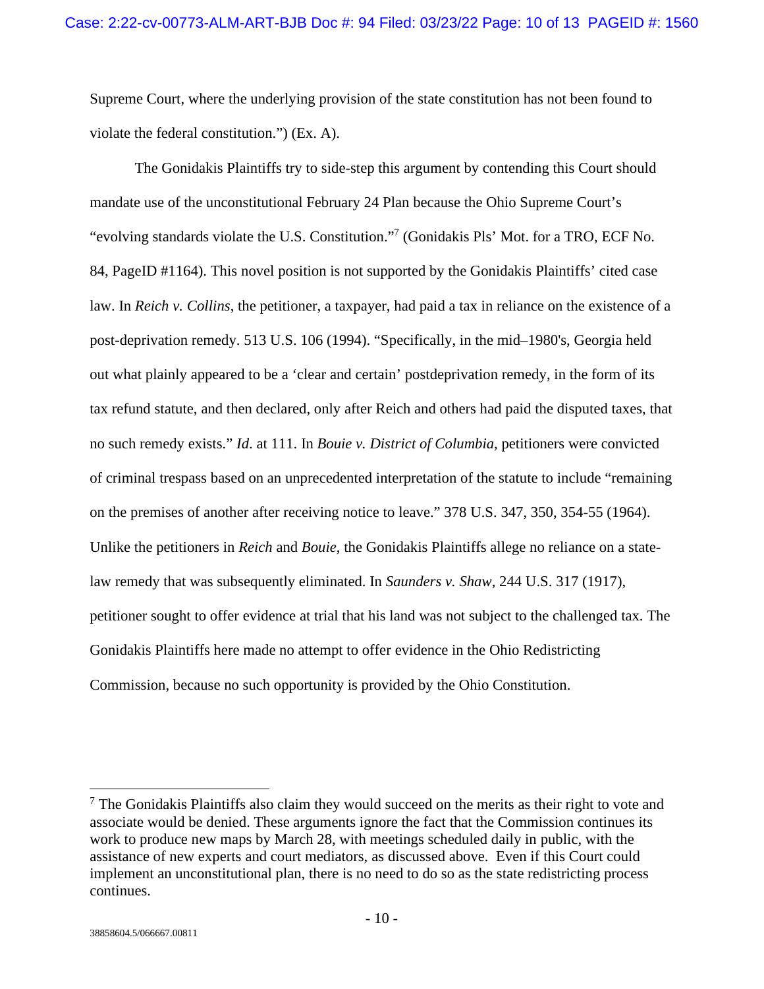Supreme Court, where the underlying provision of the state constitution has not been found to violate the federal constitution.") (Ex. A).

The Gonidakis Plaintiffs try to side-step this argument by contending this Court should mandate use of the unconstitutional February 24 Plan because the Ohio Supreme Court's "evolving standards violate the U.S. Constitution."<sup>7</sup> (Gonidakis Pls' Mot. for a TRO, ECF No. 84, PageID #1164). This novel position is not supported by the Gonidakis Plaintiffs' cited case law. In *Reich v. Collins*, the petitioner, a taxpayer, had paid a tax in reliance on the existence of a post-deprivation remedy. 513 U.S. 106 (1994). "Specifically, in the mid–1980's, Georgia held out what plainly appeared to be a 'clear and certain' postdeprivation remedy, in the form of its tax refund statute, and then declared, only after Reich and others had paid the disputed taxes, that no such remedy exists." *Id*. at 111. In *Bouie v. District of Columbia*, petitioners were convicted of criminal trespass based on an unprecedented interpretation of the statute to include "remaining on the premises of another after receiving notice to leave." 378 U.S. 347, 350, 354-55 (1964). Unlike the petitioners in *Reich* and *Bouie*, the Gonidakis Plaintiffs allege no reliance on a statelaw remedy that was subsequently eliminated. In *Saunders v. Shaw*, 244 U.S. 317 (1917), petitioner sought to offer evidence at trial that his land was not subject to the challenged tax. The Gonidakis Plaintiffs here made no attempt to offer evidence in the Ohio Redistricting Commission, because no such opportunity is provided by the Ohio Constitution.

<sup>&</sup>lt;sup>7</sup> The Gonidakis Plaintiffs also claim they would succeed on the merits as their right to vote and associate would be denied. These arguments ignore the fact that the Commission continues its work to produce new maps by March 28, with meetings scheduled daily in public, with the assistance of new experts and court mediators, as discussed above. Even if this Court could implement an unconstitutional plan, there is no need to do so as the state redistricting process continues.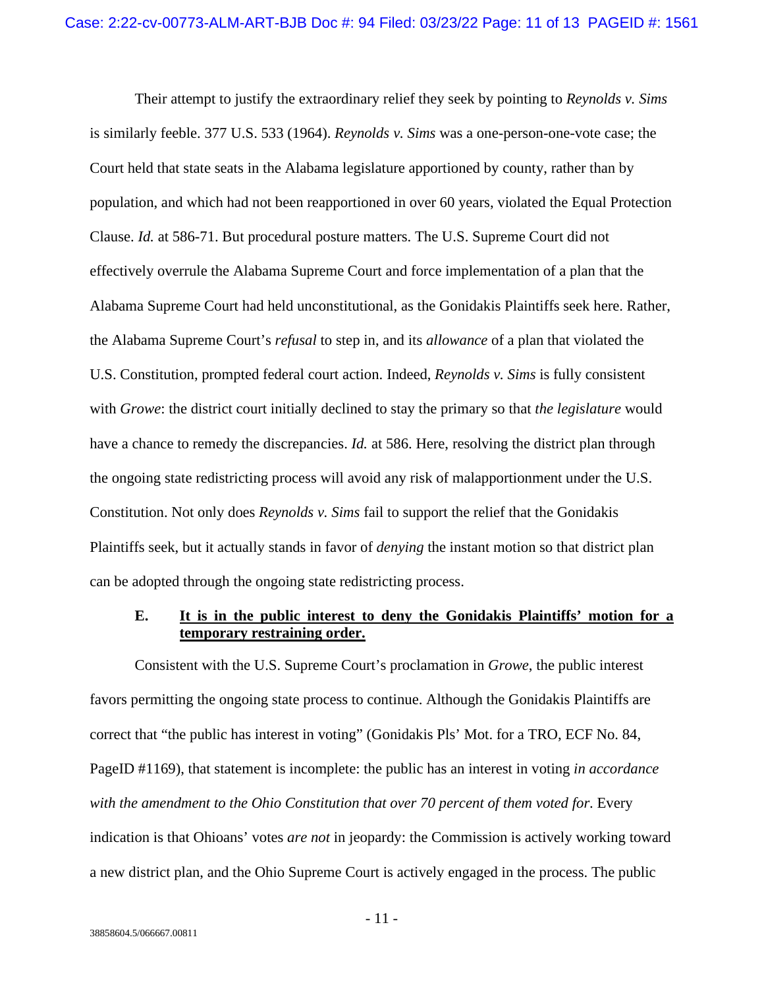Their attempt to justify the extraordinary relief they seek by pointing to *Reynolds v. Sims* is similarly feeble. 377 U.S. 533 (1964). *Reynolds v. Sims* was a one-person-one-vote case; the Court held that state seats in the Alabama legislature apportioned by county, rather than by population, and which had not been reapportioned in over 60 years, violated the Equal Protection Clause. *Id.* at 586-71. But procedural posture matters. The U.S. Supreme Court did not effectively overrule the Alabama Supreme Court and force implementation of a plan that the Alabama Supreme Court had held unconstitutional, as the Gonidakis Plaintiffs seek here. Rather, the Alabama Supreme Court's *refusal* to step in, and its *allowance* of a plan that violated the U.S. Constitution, prompted federal court action. Indeed, *Reynolds v. Sims* is fully consistent with *Growe*: the district court initially declined to stay the primary so that *the legislature* would have a chance to remedy the discrepancies. *Id.* at 586. Here, resolving the district plan through the ongoing state redistricting process will avoid any risk of malapportionment under the U.S. Constitution. Not only does *Reynolds v. Sims* fail to support the relief that the Gonidakis Plaintiffs seek, but it actually stands in favor of *denying* the instant motion so that district plan can be adopted through the ongoing state redistricting process.

### **E. It is in the public interest to deny the Gonidakis Plaintiffs' motion for a temporary restraining order.**

Consistent with the U.S. Supreme Court's proclamation in *Growe*, the public interest favors permitting the ongoing state process to continue. Although the Gonidakis Plaintiffs are correct that "the public has interest in voting" (Gonidakis Pls' Mot. for a TRO, ECF No. 84, PageID #1169), that statement is incomplete: the public has an interest in voting *in accordance with the amendment to the Ohio Constitution that over 70 percent of them voted for*. Every indication is that Ohioans' votes *are not* in jeopardy: the Commission is actively working toward a new district plan, and the Ohio Supreme Court is actively engaged in the process. The public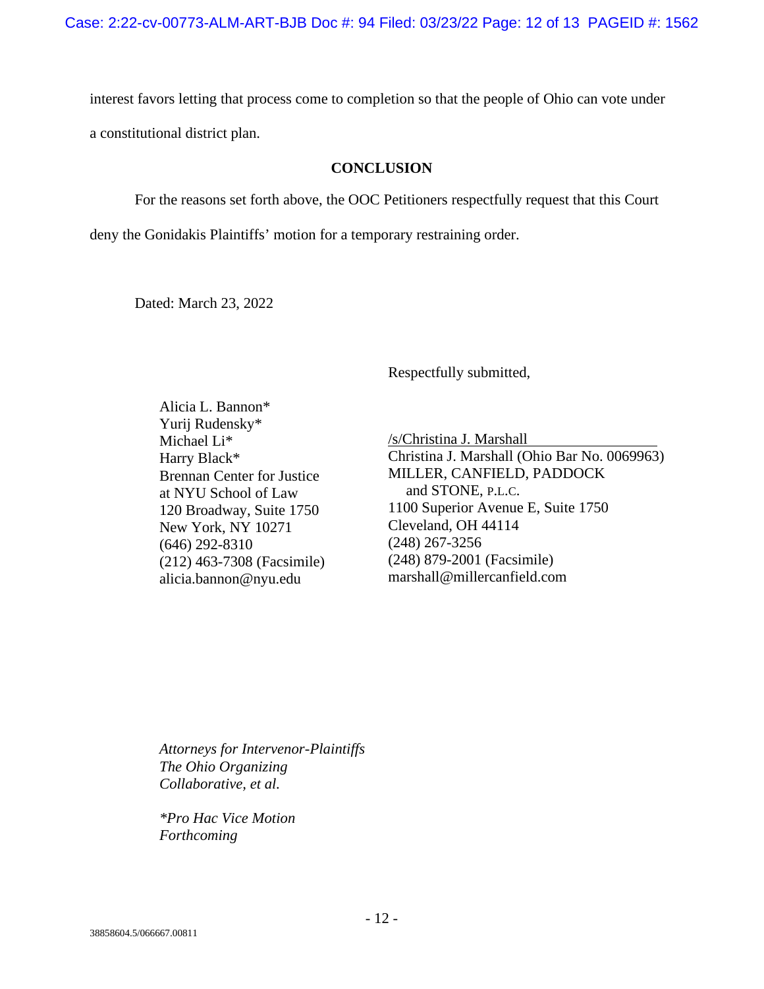interest favors letting that process come to completion so that the people of Ohio can vote under

a constitutional district plan.

### **CONCLUSION**

For the reasons set forth above, the OOC Petitioners respectfully request that this Court

deny the Gonidakis Plaintiffs' motion for a temporary restraining order.

Dated: March 23, 2022

Respectfully submitted,

Alicia L. Bannon\* Yurij Rudensky\* Michael Li\* Harry Black\* Brennan Center for Justice at NYU School of Law 120 Broadway, Suite 1750 New York, NY 10271 (646) 292-8310 (212) 463-7308 (Facsimile) alicia.bannon@nyu.edu

/s/Christina J. Marshall Christina J. Marshall (Ohio Bar No. 0069963) MILLER, CANFIELD, PADDOCK and STONE, P.L.C. 1100 Superior Avenue E, Suite 1750 Cleveland, OH 44114 (248) 267-3256 (248) 879-2001 (Facsimile) marshall@millercanfield.com

*Attorneys for Intervenor-Plaintiffs The Ohio Organizing Collaborative, et al.* 

*\*Pro Hac Vice Motion Forthcoming*